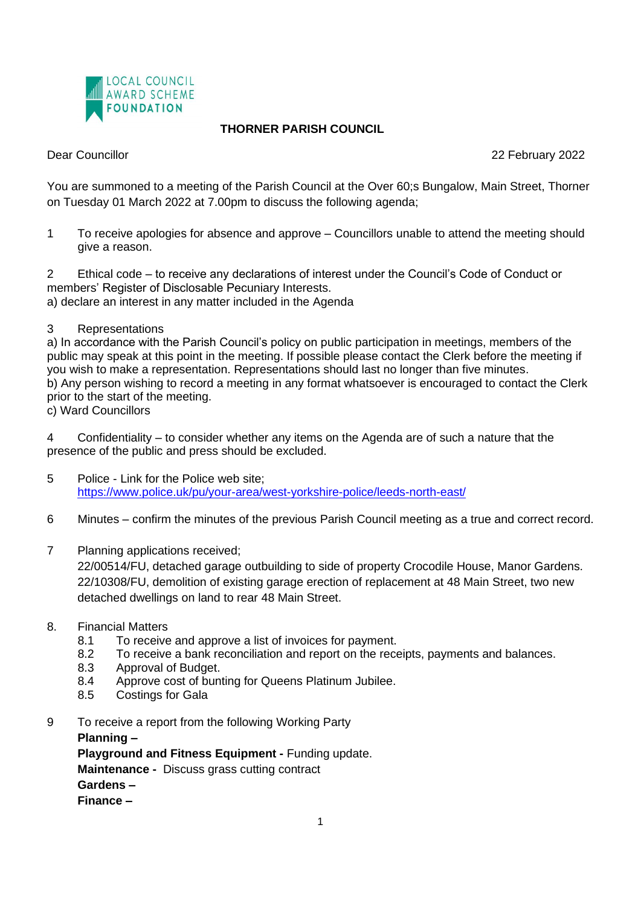

## **THORNER PARISH COUNCIL**

Dear Councillor 22 February 2022

You are summoned to a meeting of the Parish Council at the Over 60;s Bungalow, Main Street, Thorner on Tuesday 01 March 2022 at 7.00pm to discuss the following agenda;

1 To receive apologies for absence and approve – Councillors unable to attend the meeting should give a reason.

2 Ethical code – to receive any declarations of interest under the Council's Code of Conduct or members' Register of Disclosable Pecuniary Interests. a) declare an interest in any matter included in the Agenda

3 Representations

a) In accordance with the Parish Council's policy on public participation in meetings, members of the public may speak at this point in the meeting. If possible please contact the Clerk before the meeting if you wish to make a representation. Representations should last no longer than five minutes. b) Any person wishing to record a meeting in any format whatsoever is encouraged to contact the Clerk prior to the start of the meeting.

c) Ward Councillors

4 Confidentiality – to consider whether any items on the Agenda are of such a nature that the presence of the public and press should be excluded.

- 5 Police Link for the Police web site; <https://www.police.uk/pu/your-area/west-yorkshire-police/leeds-north-east/>
- 6 Minutes confirm the minutes of the previous Parish Council meeting as a true and correct record.
- 7 Planning applications received;

22/00514/FU, detached garage outbuilding to side of property Crocodile House, Manor Gardens. 22/10308/FU, demolition of existing garage erection of replacement at 48 Main Street, two new detached dwellings on land to rear 48 Main Street.

- 8. Financial Matters
	- 8.1 To receive and approve a list of invoices for payment.
	- 8.2 To receive a bank reconciliation and report on the receipts, payments and balances.
	- 8.3 Approval of Budget.
	- 8.4 Approve cost of bunting for Queens Platinum Jubilee.
	- 8.5 Costings for Gala
- 9 To receive a report from the following Working Party

**Planning –** 

**Playground and Fitness Equipment -** Funding update.

**Maintenance -** Discuss grass cutting contract

**Gardens –** 

**Finance –**